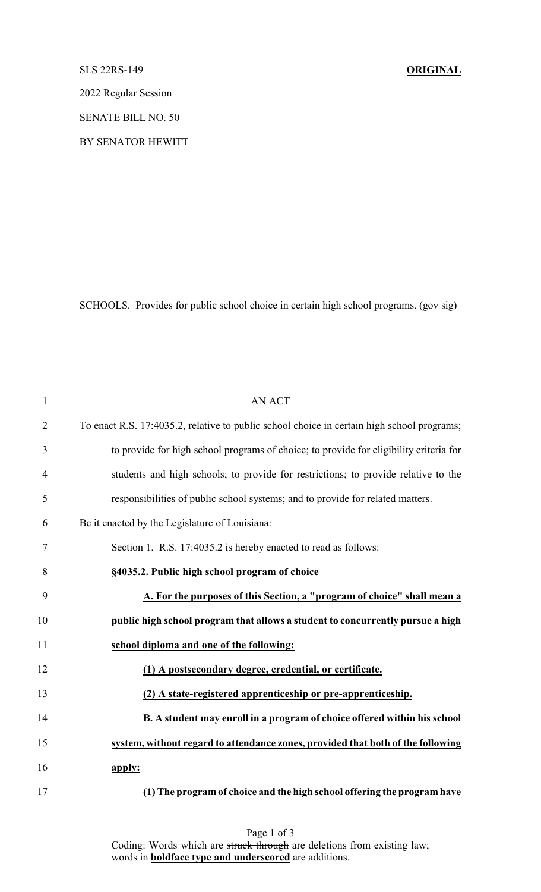## SLS 22RS-149 **ORIGINAL**

2022 Regular Session

SENATE BILL NO. 50

BY SENATOR HEWITT

SCHOOLS. Provides for public school choice in certain high school programs. (gov sig)

| $\mathbf{1}$   | AN ACT                                                                                     |
|----------------|--------------------------------------------------------------------------------------------|
| $\overline{2}$ | To enact R.S. 17:4035.2, relative to public school choice in certain high school programs; |
| 3              | to provide for high school programs of choice; to provide for eligibility criteria for     |
| $\overline{4}$ | students and high schools; to provide for restrictions; to provide relative to the         |
| 5              | responsibilities of public school systems; and to provide for related matters.             |
| 6              | Be it enacted by the Legislature of Louisiana:                                             |
| $\tau$         | Section 1. R.S. 17:4035.2 is hereby enacted to read as follows:                            |
| 8              | §4035.2. Public high school program of choice                                              |
| 9              | A. For the purposes of this Section, a "program of choice" shall mean a                    |
| 10             | public high school program that allows a student to concurrently pursue a high             |
| 11             | school diploma and one of the following:                                                   |
| 12             | (1) A postsecondary degree, credential, or certificate.                                    |
| 13             | (2) A state-registered apprenticeship or pre-apprenticeship.                               |
| 14             | B. A student may enroll in a program of choice offered within his school                   |
| 15             | system, without regard to attendance zones, provided that both of the following            |
| 16             | apply:                                                                                     |
| 17             | (1) The program of choice and the high school offering the program have                    |

Page 1 of 3 Coding: Words which are struck through are deletions from existing law; words in **boldface type and underscored** are additions.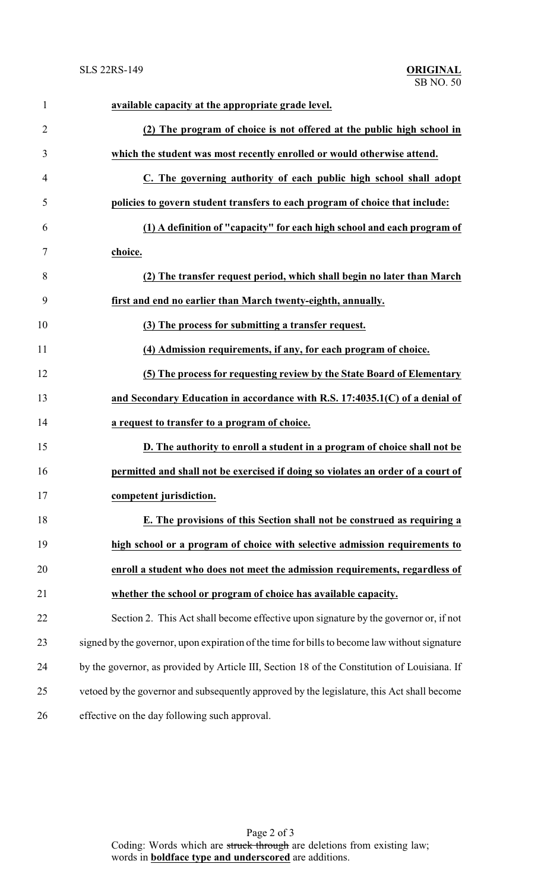| $\mathbf{1}$   | available capacity at the appropriate grade level.                                            |
|----------------|-----------------------------------------------------------------------------------------------|
| $\overline{2}$ | (2) The program of choice is not offered at the public high school in                         |
| 3              | which the student was most recently enrolled or would otherwise attend.                       |
| $\overline{4}$ | C. The governing authority of each public high school shall adopt                             |
| 5              | policies to govern student transfers to each program of choice that include:                  |
| 6              | (1) A definition of "capacity" for each high school and each program of                       |
| 7              | choice.                                                                                       |
| 8              | (2) The transfer request period, which shall begin no later than March                        |
| 9              | first and end no earlier than March twenty-eighth, annually.                                  |
| 10             | (3) The process for submitting a transfer request.                                            |
| 11             | (4) Admission requirements, if any, for each program of choice.                               |
| 12             | (5) The process for requesting review by the State Board of Elementary                        |
| 13             | and Secondary Education in accordance with R.S. 17:4035.1(C) of a denial of                   |
| 14             | a request to transfer to a program of choice.                                                 |
| 15             | D. The authority to enroll a student in a program of choice shall not be                      |
| 16             | permitted and shall not be exercised if doing so violates an order of a court of              |
| 17             | competent jurisdiction.                                                                       |
| 18             | E. The provisions of this Section shall not be construed as requiring a                       |
| 19             | high school or a program of choice with selective admission requirements to                   |
| 20             | enroll a student who does not meet the admission requirements, regardless of                  |
| 21             | whether the school or program of choice has available capacity.                               |
| 22             | Section 2. This Act shall become effective upon signature by the governor or, if not          |
| 23             | signed by the governor, upon expiration of the time for bills to become law without signature |
| 24             | by the governor, as provided by Article III, Section 18 of the Constitution of Louisiana. If  |
| 25             | vetoed by the governor and subsequently approved by the legislature, this Act shall become    |
| 26             | effective on the day following such approval.                                                 |